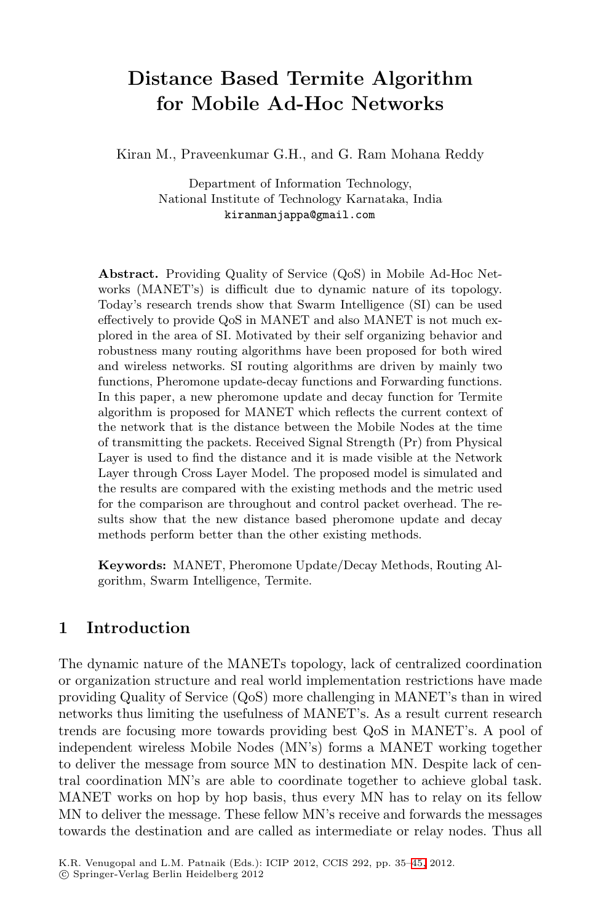## **Distance Based Termite Algorithm for Mobile Ad-Hoc Networks**

Kiran M., Praveenkumar G.H., and G. Ram Mohana Reddy

Department of Information Technology, National Institute of Technology Karnataka, India kiranmanjappa@gmail.com

**Abstract.** Providing Quality of Service (QoS) in Mobile Ad-Hoc Networks (MANET's) is difficult due to dynamic nature of its topology. Today's research trends show that Swarm Intelligence (SI) can be used effectively to provide QoS in MANET and also MANET is not much explored in the area of SI. Motivated by their self organizing behavior and robustness many routing algorithms have been proposed for both wired and wireless networks. SI routing algorithms are driven by mainly two functions, Pheromone update-decay functions and Forwarding functions. In this paper, a new pheromone update and decay function for Termite algorithm is proposed for MANET which reflects the current context of the network that is the distance between the Mobile Nodes at the time of transmitting the packets. Received Signal Strength (Pr) from Physical Layer is used to find the distance and it is made visible at the Network Layer through Cross Layer Model. The proposed model is simulated and the results are compared with the existing methods and the metric used for the comparison are throughout and control packet overhead. The results show that the new distance based pheromone update and decay methods perform better than the other existing methods.

**Keywords:** MANET, Pheromone Update/Decay Methods, Routing Algorithm, Swarm Intelligence, Termite.

## **1 Introduction**

The dynamic nature of the MANETs topology, lack of centralized coordination or organization structure and real world implementation restrictions have made providing Quality of Service (QoS) more challenging in MANET's than in wired networks thus limiting the usefulness of MANET's. As a result current research trends are focusing more towards providing best QoS in MANET's. A pool of independent wireless Mobile Nodes (MN's) forms a MANET working together to deliver the message from source MN to destination MN. Despite lack of central coordination MN's are able to coordinate together to achieve global task. MANET works on hop by hop basis, thus every MN has to relay on its fellow MN to deliver the message. These fellow MN's receive and forwards the messages towards the destination and are called as intermediate or relay nodes. Thus all